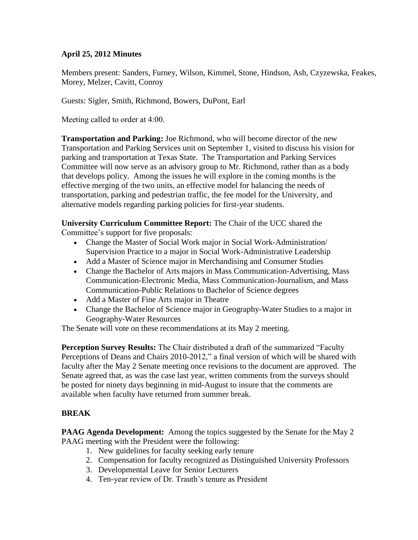## **April 25, 2012 Minutes**

Members present: Sanders, Furney, Wilson, Kimmel, Stone, Hindson, Ash, Czyzewska, Feakes, Morey, Melzer, Cavitt, Conroy

Guests: Sigler, Smith, Richmond, Bowers, DuPont, Earl

Meeting called to order at 4:00.

**Transportation and Parking:** Joe Richmond, who will become director of the new Transportation and Parking Services unit on September 1, visited to discuss his vision for parking and transportation at Texas State. The Transportation and Parking Services Committee will now serve as an advisory group to Mr. Richmond, rather than as a body that develops policy. Among the issues he will explore in the coming months is the effective merging of the two units, an effective model for balancing the needs of transportation, parking and pedestrian traffic, the fee model for the University, and alternative models regarding parking policies for first-year students.

**University Curriculum Committee Report:** The Chair of the UCC shared the Committee's support for five proposals:

- Change the Master of Social Work major in Social Work-Administration/ Supervision Practice to a major in Social Work-Administrative Leadership
- Add a Master of Science major in Merchandising and Consumer Studies
- Change the Bachelor of Arts majors in Mass Communication-Advertising, Mass Communication-Electronic Media, Mass Communication-Journalism, and Mass Communication-Public Relations to Bachelor of Science degrees
- Add a Master of Fine Arts major in Theatre
- Change the Bachelor of Science major in Geography-Water Studies to a major in Geography-Water Resources

The Senate will vote on these recommendations at its May 2 meeting.

**Perception Survey Results:** The Chair distributed a draft of the summarized "Faculty Perceptions of Deans and Chairs 2010-2012," a final version of which will be shared with faculty after the May 2 Senate meeting once revisions to the document are approved. The Senate agreed that, as was the case last year, written comments from the surveys should be posted for ninety days beginning in mid-August to insure that the comments are available when faculty have returned from summer break.

## **BREAK**

**PAAG Agenda Development:** Among the topics suggested by the Senate for the May 2 PAAG meeting with the President were the following:

- 1. New guidelines for faculty seeking early tenure
- 2. Compensation for faculty recognized as Distinguished University Professors
- 3. Developmental Leave for Senior Lecturers
- 4. Ten-year review of Dr. Trauth's tenure as President